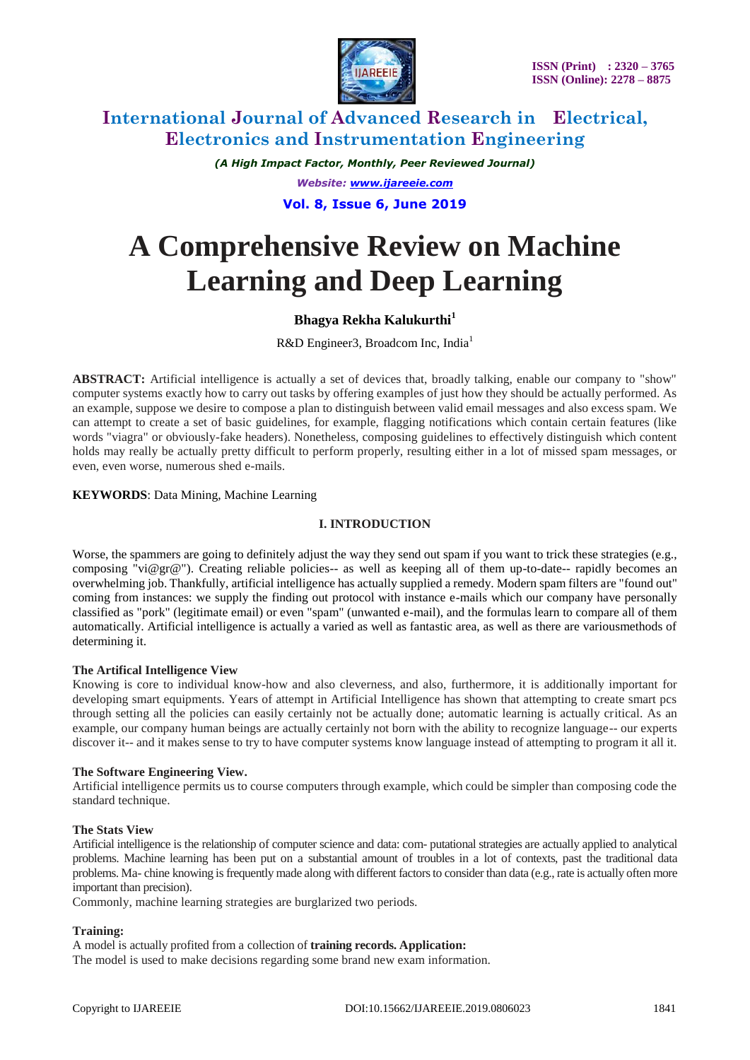

*(A High Impact Factor, Monthly, Peer Reviewed Journal) Website: [www.ijareeie.com](http://www.ijareeie.com/)*

# **Vol. 8, Issue 6, June 2019**

# **A Comprehensive Review on Machine Learning and Deep Learning**

# **Bhagya Rekha Kalukurthi<sup>1</sup>**

R&D Engineer3, Broadcom Inc, India<sup>1</sup>

**ABSTRACT:** Artificial intelligence is actually a set of devices that, broadly talking, enable our company to "show" computer systems exactly how to carry out tasks by offering examples of just how they should be actually performed. As an example, suppose we desire to compose a plan to distinguish between valid email messages and also excess spam. We can attempt to create a set of basic guidelines, for example, flagging notifications which contain certain features (like words "viagra" or obviously-fake headers). Nonetheless, composing guidelines to effectively distinguish which content holds may really be actually pretty difficult to perform properly, resulting either in a lot of missed spam messages, or even, even worse, numerous shed e-mails.

### **KEYWORDS**: Data Mining, Machine Learning

### **I. INTRODUCTION**

Worse, the spammers are going to definitely adjust the way they send out spam if you want to trick these strategies (e.g., composing "vi@gr@"). Creating reliable policies-- as well as keeping all of them up-to-date-- rapidly becomes an overwhelming job. Thankfully, artificial intelligence has actually supplied a remedy. Modern spam filters are "found out" coming from instances: we supply the finding out protocol with instance e-mails which our company have personally classified as "pork" (legitimate email) or even "spam" (unwanted e-mail), and the formulas learn to compare all of them automatically. Artificial intelligence is actually a varied as well as fantastic area, as well as there are variousmethods of determining it.

### **The Artifical Intelligence View**

Knowing is core to individual know-how and also cleverness, and also, furthermore, it is additionally important for developing smart equipments. Years of attempt in Artificial Intelligence has shown that attempting to create smart pcs through setting all the policies can easily certainly not be actually done; automatic learning is actually critical. As an example, our company human beings are actually certainly not born with the ability to recognize language-- our experts discover it-- and it makes sense to try to have computer systems know language instead of attempting to program it all it.

### **The Software Engineering View.**

Artificial intelligence permits us to course computers through example, which could be simpler than composing code the standard technique.

### **The Stats View**

Artificial intelligence is the relationship of computer science and data: com- putational strategies are actually applied to analytical problems. Machine learning has been put on a substantial amount of troubles in a lot of contexts, past the traditional data problems. Ma- chine knowing is frequently made along with different factors to consider than data (e.g., rate is actually often more important than precision).

Commonly, machine learning strategies are burglarized two periods.

### **Training:**

A model is actually profited from a collection of **training records. Application:**

The model is used to make decisions regarding some brand new exam information.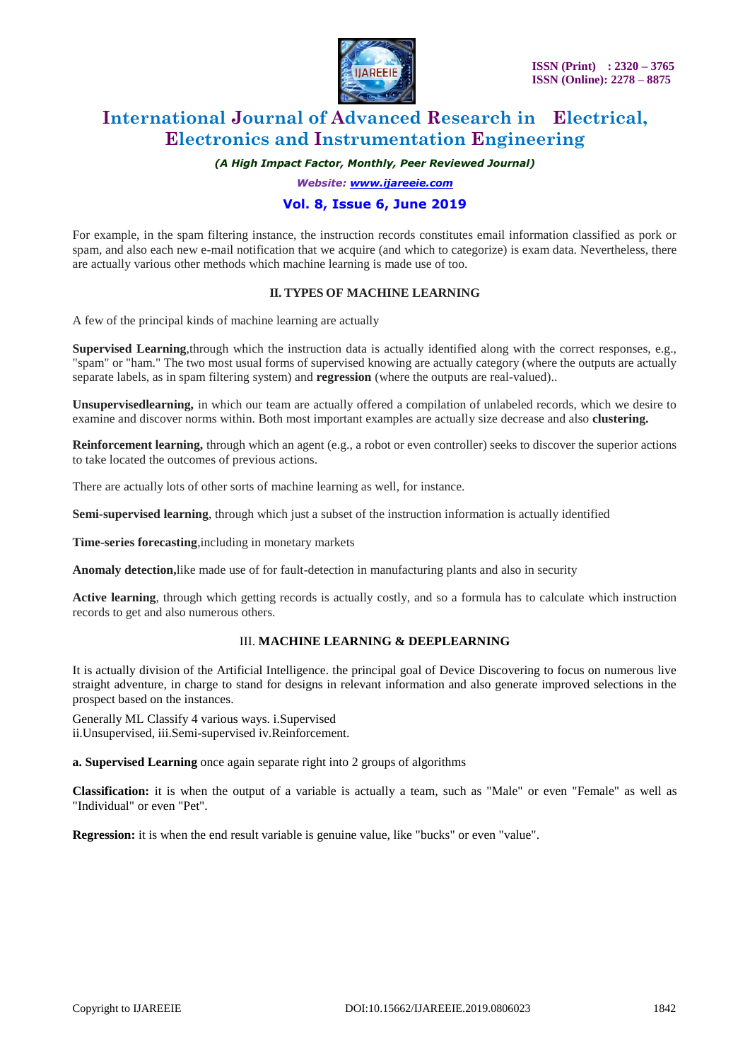

*(A High Impact Factor, Monthly, Peer Reviewed Journal)*

*Website: [www.ijareeie.com](http://www.ijareeie.com/)*

### **Vol. 8, Issue 6, June 2019**

For example, in the spam filtering instance, the instruction records constitutes email information classified as pork or spam, and also each new e-mail notification that we acquire (and which to categorize) is exam data. Nevertheless, there are actually various other methods which machine learning is made use of too.

### **II. TYPES OF MACHINE LEARNING**

A few of the principal kinds of machine learning are actually

**Supervised Learning**,through which the instruction data is actually identified along with the correct responses, e.g., "spam" or "ham." The two most usual forms of supervised knowing are actually category (where the outputs are actually separate labels, as in spam filtering system) and **regression** (where the outputs are real-valued)..

**Unsupervisedlearning,** in which our team are actually offered a compilation of unlabeled records, which we desire to examine and discover norms within. Both most important examples are actually size decrease and also **clustering.**

**Reinforcement learning,** through which an agent (e.g., a robot or even controller) seeks to discover the superior actions to take located the outcomes of previous actions.

There are actually lots of other sorts of machine learning as well, for instance.

**Semi-supervised learning**, through which just a subset of the instruction information is actually identified

**Time-series forecasting**,including in monetary markets

**Anomaly detection,**like made use of for fault-detection in manufacturing plants and also in security

Active learning, through which getting records is actually costly, and so a formula has to calculate which instruction records to get and also numerous others.

# III. **MACHINE LEARNING & DEEPLEARNING**

It is actually division of the Artificial Intelligence. the principal goal of Device Discovering to focus on numerous live straight adventure, in charge to stand for designs in relevant information and also generate improved selections in the prospect based on the instances.

Generally ML Classify 4 various ways. i.Supervised ii.Unsupervised, iii.Semi-supervised iv.Reinforcement.

**a. Supervised Learning** once again separate right into 2 groups of algorithms

**Classification:** it is when the output of a variable is actually a team, such as "Male" or even "Female" as well as "Individual" or even "Pet".

**Regression:** it is when the end result variable is genuine value, like "bucks" or even "value".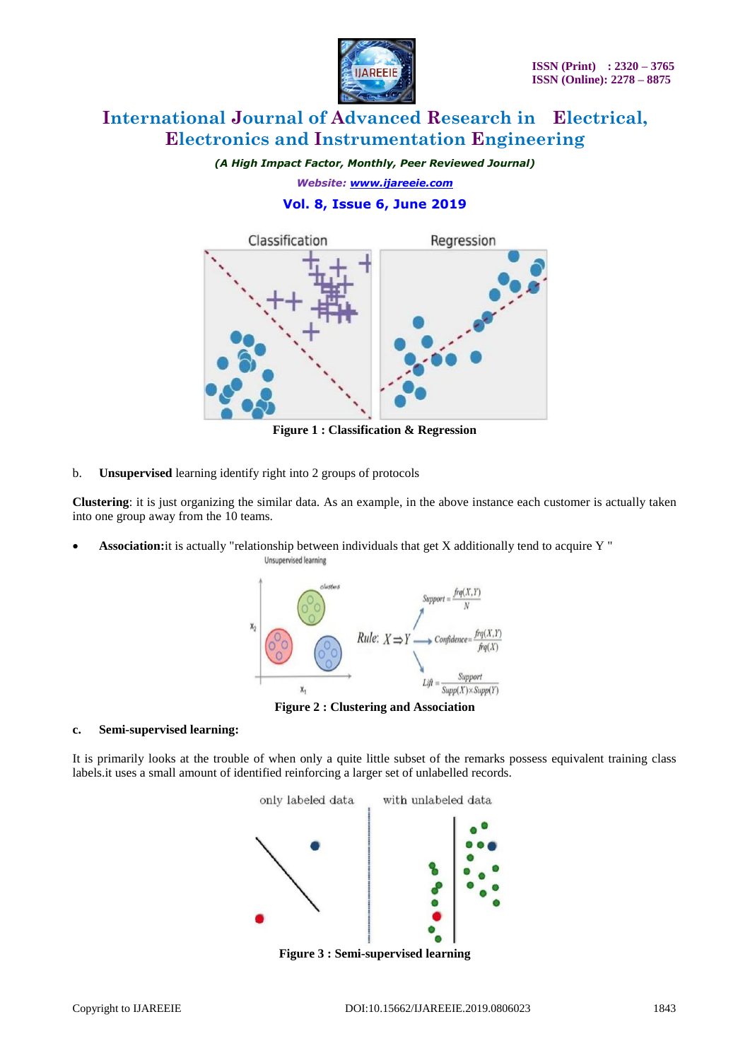

*(A High Impact Factor, Monthly, Peer Reviewed Journal)*

*Website: [www.ijareeie.com](http://www.ijareeie.com/)*

# **Vol. 8, Issue 6, June 2019**



**Figure 1 : Classification & Regression**

b. **Unsupervised** learning identify right into 2 groups of protocols

**Clustering**: it is just organizing the similar data. As an example, in the above instance each customer is actually taken into one group away from the 10 teams.

 **Association:**it is actually "relationship between individuals that get X additionally tend to acquire Y " Unsupervised learning



**Figure 2 : Clustering and Association**

### **c. Semi-supervised learning:**

It is primarily looks at the trouble of when only a quite little subset of the remarks possess equivalent training class labels.it uses a small amount of identified reinforcing a larger set of unlabelled records.



**Figure 3 : Semi-supervised learning**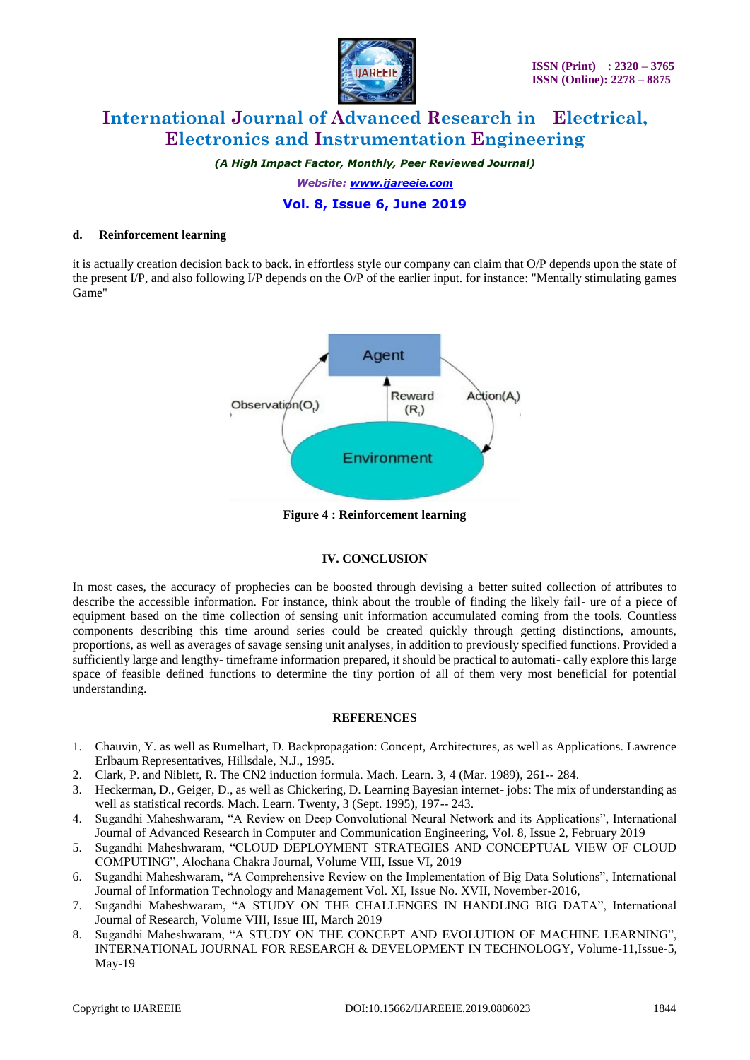

*(A High Impact Factor, Monthly, Peer Reviewed Journal)*

*Website: [www.ijareeie.com](http://www.ijareeie.com/)*

# **Vol. 8, Issue 6, June 2019**

#### **d. Reinforcement learning**

it is actually creation decision back to back. in effortless style our company can claim that O/P depends upon the state of the present I/P, and also following I/P depends on the O/P of the earlier input. for instance: "Mentally stimulating games Game"



**Figure 4 : Reinforcement learning**

### **IV. CONCLUSION**

In most cases, the accuracy of prophecies can be boosted through devising a better suited collection of attributes to describe the accessible information. For instance, think about the trouble of finding the likely fail- ure of a piece of equipment based on the time collection of sensing unit information accumulated coming from the tools. Countless components describing this time around series could be created quickly through getting distinctions, amounts, proportions, as well as averages of savage sensing unit analyses, in addition to previously specified functions. Provided a sufficiently large and lengthy- timeframe information prepared, it should be practical to automati- cally explore this large space of feasible defined functions to determine the tiny portion of all of them very most beneficial for potential understanding.

### **REFERENCES**

- 1. Chauvin, Y. as well as Rumelhart, D. Backpropagation: Concept, Architectures, as well as Applications. Lawrence Erlbaum Representatives, Hillsdale, N.J., 1995.
- 2. Clark, P. and Niblett, R. The CN2 induction formula. Mach. Learn. 3, 4 (Mar. 1989), 261-- 284.
- 3. Heckerman, D., Geiger, D., as well as Chickering, D. Learning Bayesian internet- jobs: The mix of understanding as well as statistical records. Mach. Learn. Twenty, 3 (Sept. 1995), 197-- 243.
- 4. Sugandhi Maheshwaram, "A Review on Deep Convolutional Neural Network and its Applications", International Journal of Advanced Research in Computer and Communication Engineering, Vol. 8, Issue 2, February 2019
- 5. Sugandhi Maheshwaram, "CLOUD DEPLOYMENT STRATEGIES AND CONCEPTUAL VIEW OF CLOUD COMPUTING", Alochana Chakra Journal, Volume VIII, Issue VI, 2019
- 6. Sugandhi Maheshwaram, "A Comprehensive Review on the Implementation of Big Data Solutions", International Journal of Information Technology and Management Vol. XI, Issue No. XVII, November-2016,
- 7. Sugandhi Maheshwaram, "A STUDY ON THE CHALLENGES IN HANDLING BIG DATA", International Journal of Research, Volume VIII, Issue III, March 2019
- 8. Sugandhi Maheshwaram, "A STUDY ON THE CONCEPT AND EVOLUTION OF MACHINE LEARNING", INTERNATIONAL JOURNAL FOR RESEARCH & DEVELOPMENT IN TECHNOLOGY, Volume-11,Issue-5, May-19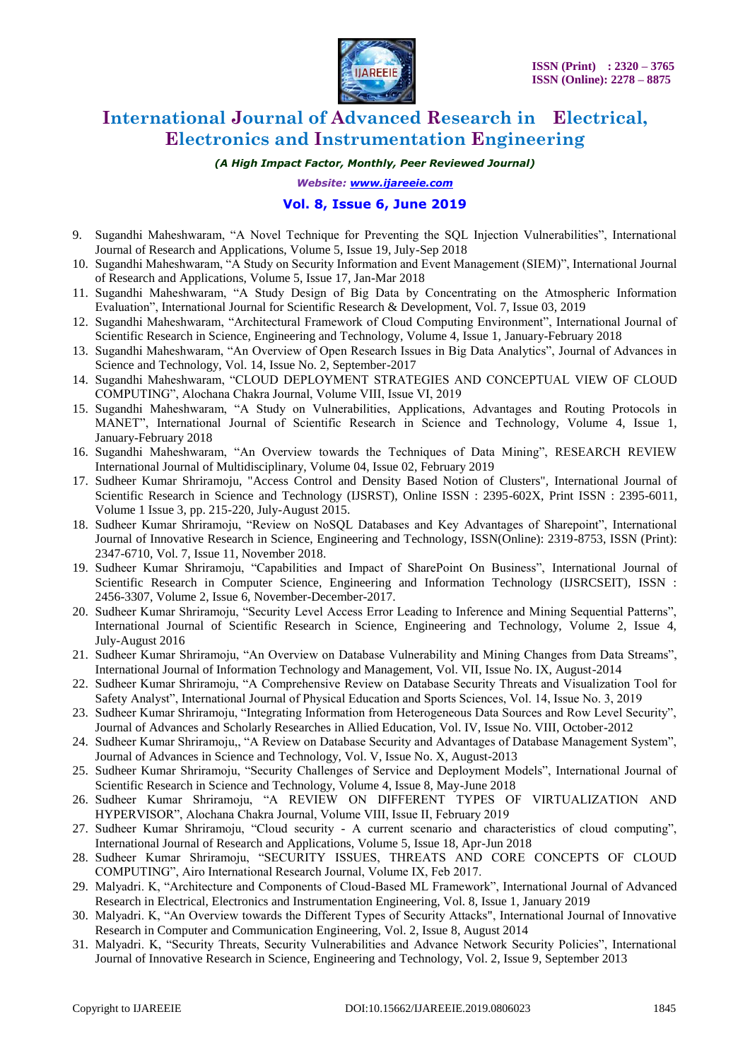

*(A High Impact Factor, Monthly, Peer Reviewed Journal)*

*Website: [www.ijareeie.com](http://www.ijareeie.com/)*

### **Vol. 8, Issue 6, June 2019**

- 9. Sugandhi Maheshwaram, "A Novel Technique for Preventing the SQL Injection Vulnerabilities", International Journal of Research and Applications, Volume 5, Issue 19, July-Sep 2018
- 10. Sugandhi Maheshwaram, "A Study on Security Information and Event Management (SIEM)", International Journal of Research and Applications, Volume 5, Issue 17, Jan-Mar 2018
- 11. Sugandhi Maheshwaram, "A Study Design of Big Data by Concentrating on the Atmospheric Information Evaluation", International Journal for Scientific Research & Development, Vol. 7, Issue 03, 2019
- 12. Sugandhi Maheshwaram, "Architectural Framework of Cloud Computing Environment", International Journal of Scientific Research in Science, Engineering and Technology, Volume 4, Issue 1, January-February 2018
- 13. Sugandhi Maheshwaram, "An Overview of Open Research Issues in Big Data Analytics", Journal of Advances in Science and Technology, Vol. 14, Issue No. 2, September-2017
- 14. Sugandhi Maheshwaram, "CLOUD DEPLOYMENT STRATEGIES AND CONCEPTUAL VIEW OF CLOUD COMPUTING", Alochana Chakra Journal, Volume VIII, Issue VI, 2019
- 15. Sugandhi Maheshwaram, "A Study on Vulnerabilities, Applications, Advantages and Routing Protocols in MANET", International Journal of Scientific Research in Science and Technology, Volume 4, Issue 1, January-February 2018
- 16. Sugandhi Maheshwaram, "An Overview towards the Techniques of Data Mining", RESEARCH REVIEW International Journal of Multidisciplinary, Volume 04, Issue 02, February 2019
- 17. Sudheer Kumar Shriramoju, "Access Control and Density Based Notion of Clusters", International Journal of Scientific Research in Science and Technology (IJSRST), Online ISSN : 2395-602X, Print ISSN : 2395-6011, Volume 1 Issue 3, pp. 215-220, July-August 2015.
- 18. Sudheer Kumar Shriramoju, "Review on NoSQL Databases and Key Advantages of Sharepoint", International Journal of Innovative Research in Science, Engineering and Technology, ISSN(Online): 2319-8753, ISSN (Print): 2347-6710, Vol. 7, Issue 11, November 2018.
- 19. Sudheer Kumar Shriramoju, "Capabilities and Impact of SharePoint On Business", International Journal of Scientific Research in Computer Science, Engineering and Information Technology (IJSRCSEIT), ISSN : 2456-3307, Volume 2, Issue 6, November-December-2017.
- 20. Sudheer Kumar Shriramoju, "Security Level Access Error Leading to Inference and Mining Sequential Patterns", International Journal of Scientific Research in Science, Engineering and Technology, Volume 2, Issue 4, July-August 2016
- 21. Sudheer Kumar Shriramoju, "An Overview on Database Vulnerability and Mining Changes from Data Streams", International Journal of Information Technology and Management, Vol. VII, Issue No. IX, August-2014
- 22. Sudheer Kumar Shriramoju, "A Comprehensive Review on Database Security Threats and Visualization Tool for Safety Analyst", International Journal of Physical Education and Sports Sciences, Vol. 14, Issue No. 3, 2019
- 23. Sudheer Kumar Shriramoju, "Integrating Information from Heterogeneous Data Sources and Row Level Security", Journal of Advances and Scholarly Researches in Allied Education, Vol. IV, Issue No. VIII, October-2012
- 24. Sudheer Kumar Shriramoju,, "A Review on Database Security and Advantages of Database Management System", Journal of Advances in Science and Technology, Vol. V, Issue No. X, August-2013
- 25. Sudheer Kumar Shriramoju, "Security Challenges of Service and Deployment Models", International Journal of Scientific Research in Science and Technology, Volume 4, Issue 8, May-June 2018
- 26. Sudheer Kumar Shriramoju, "A REVIEW ON DIFFERENT TYPES OF VIRTUALIZATION AND HYPERVISOR", Alochana Chakra Journal, Volume VIII, Issue II, February 2019
- 27. Sudheer Kumar Shriramoju, "Cloud security A current scenario and characteristics of cloud computing", International Journal of Research and Applications, Volume 5, Issue 18, Apr-Jun 2018
- 28. Sudheer Kumar Shriramoju, "SECURITY ISSUES, THREATS AND CORE CONCEPTS OF CLOUD COMPUTING", Airo International Research Journal, Volume IX, Feb 2017.
- 29. Malyadri. K, "Architecture and Components of Cloud-Based ML Framework", International Journal of Advanced Research in Electrical, Electronics and Instrumentation Engineering, Vol. 8, Issue 1, January 2019
- 30. Malyadri. K, "An Overview towards the Different Types of Security Attacks", International Journal of Innovative Research in Computer and Communication Engineering, Vol. 2, Issue 8, August 2014
- 31. Malyadri. K, "Security Threats, Security Vulnerabilities and Advance Network Security Policies", International Journal of Innovative Research in Science, Engineering and Technology, Vol. 2, Issue 9, September 2013